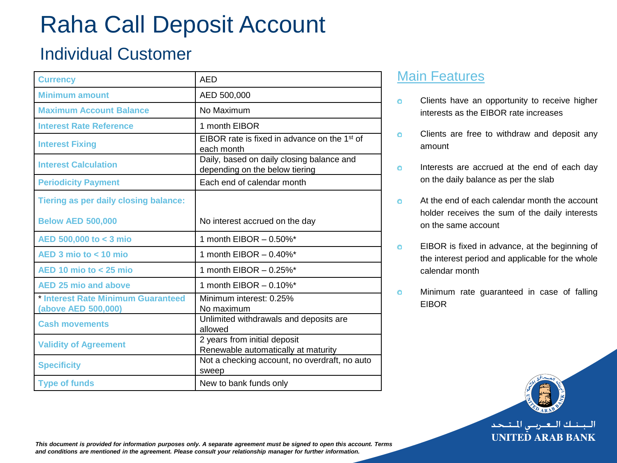# Raha Call Deposit Account

## Individual Customer

| <b>Currency</b>                                           | AFD                                                                         |
|-----------------------------------------------------------|-----------------------------------------------------------------------------|
| <b>Minimum amount</b>                                     | AED 500,000                                                                 |
| <b>Maximum Account Balance</b>                            | No Maximum                                                                  |
| <b>Interest Rate Reference</b>                            | 1 month EIBOR                                                               |
| <b>Interest Fixing</b>                                    | EIBOR rate is fixed in advance on the 1 <sup>st</sup> of<br>each month      |
| <b>Interest Calculation</b>                               | Daily, based on daily closing balance and<br>depending on the below tiering |
| <b>Periodicity Payment</b>                                | Each end of calendar month                                                  |
| <b>Tiering as per daily closing balance:</b>              |                                                                             |
| <b>Below AED 500,000</b>                                  | No interest accrued on the day                                              |
| AED 500,000 to < 3 mio                                    | 1 month EIBOR $-0.50\%$ <sup>*</sup>                                        |
| $AED$ 3 mio to < 10 mio                                   | 1 month EIBOR $-0.40\%$ <sup>*</sup>                                        |
| $AED$ 10 mio to $<$ 25 mio                                | 1 month EIBOR - 0.25%*                                                      |
| <b>AED 25 mio and above</b>                               | 1 month EIBOR $-0.10\%$ <sup>*</sup>                                        |
| * Interest Rate Minimum Guaranteed<br>(above AED 500,000) | Minimum interest: 0.25%<br>No maximum                                       |
| <b>Cash movements</b>                                     | Unlimited withdrawals and deposits are<br>allowed                           |
| <b>Validity of Agreement</b>                              | 2 years from initial deposit<br>Renewable automatically at maturity         |
| <b>Specificity</b>                                        | Not a checking account, no overdraft, no auto<br>sweep                      |
| <b>Type of funds</b>                                      | New to bank funds only                                                      |

### Main Features

- Clients have an opportunity to receive higher Ō interests as the EIBOR rate increases
- Clients are free to withdraw and deposit any  $\bullet$ amount
- Interests are accrued at the end of each day  $\bullet$ on the daily balance as per the slab

At the end of each calendar month the account ö holder receives the sum of the daily interests on the same account

- EIBOR is fixed in advance, at the beginning of  $\bullet$ the interest period and applicable for the whole calendar month
- Minimum rate guaranteed in case of falling Ō EIBOR



البينيك التعتريني المتنجد **UNITED ARAB BANK** 

*This document is provided for information purposes only. A separate agreement must be signed to open this account. Terms and conditions are mentioned in the agreement. Please consult your relationship manager for further information.*